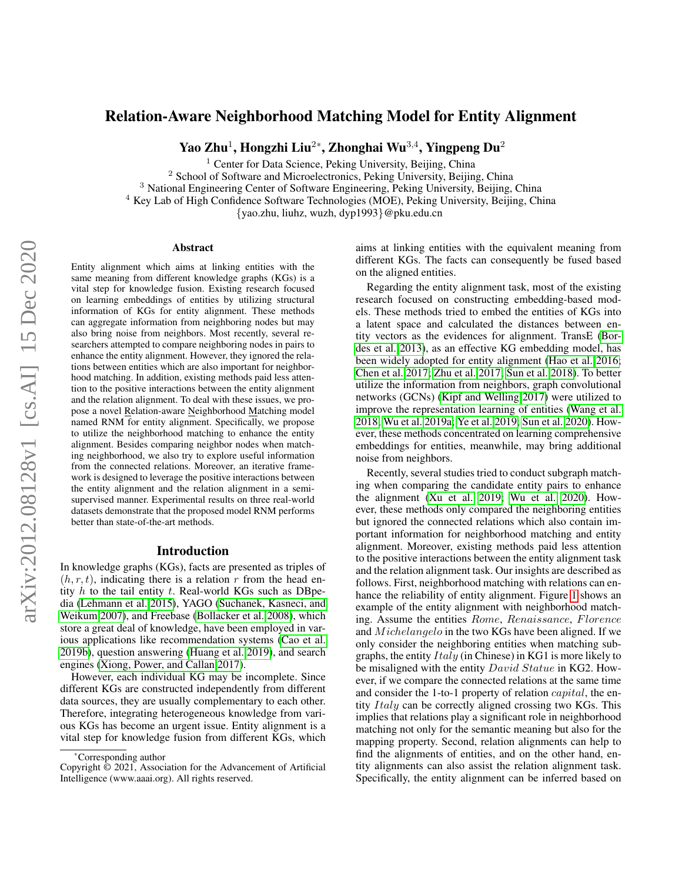# Relation-Aware Neighborhood Matching Model for Entity Alignment

Yao Zhu $^1$ , Hongzhi Liu $^{2*}$ , Zhonghai Wu $^{3,4}$ , Yingpeng Du $^2$ 

<sup>1</sup> Center for Data Science, Peking University, Beijing, China

<sup>2</sup> School of Software and Microelectronics, Peking University, Beijing, China

<sup>3</sup> National Engineering Center of Software Engineering, Peking University, Beijing, China

<sup>4</sup> Key Lab of High Confidence Software Technologies (MOE), Peking University, Beijing, China

{yao.zhu, liuhz, wuzh, dyp1993}@pku.edu.cn

#### Abstract

Entity alignment which aims at linking entities with the same meaning from different knowledge graphs (KGs) is a vital step for knowledge fusion. Existing research focused on learning embeddings of entities by utilizing structural information of KGs for entity alignment. These methods can aggregate information from neighboring nodes but may also bring noise from neighbors. Most recently, several researchers attempted to compare neighboring nodes in pairs to enhance the entity alignment. However, they ignored the relations between entities which are also important for neighborhood matching. In addition, existing methods paid less attention to the positive interactions between the entity alignment and the relation alignment. To deal with these issues, we propose a novel Relation-aware Neighborhood Matching model named RNM for entity alignment. Specifically, we propose to utilize the neighborhood matching to enhance the entity alignment. Besides comparing neighbor nodes when matching neighborhood, we also try to explore useful information from the connected relations. Moreover, an iterative framework is designed to leverage the positive interactions between the entity alignment and the relation alignment in a semisupervised manner. Experimental results on three real-world datasets demonstrate that the proposed model RNM performs better than state-of-the-art methods.

## Introduction

In knowledge graphs (KGs), facts are presented as triples of  $(h, r, t)$ , indicating there is a relation r from the head entity  $h$  to the tail entity  $t$ . Real-world KGs such as DBpedia [\(Lehmann et al. 2015\)](#page-7-0), YAGO [\(Suchanek, Kasneci, and](#page-7-1) [Weikum 2007\)](#page-7-1), and Freebase [\(Bollacker et al. 2008\)](#page-7-2), which store a great deal of knowledge, have been employed in various applications like recommendation systems [\(Cao et al.](#page-7-3) [2019b\)](#page-7-3), question answering [\(Huang et al. 2019\)](#page-7-4), and search engines [\(Xiong, Power, and Callan 2017\)](#page-7-5).

However, each individual KG may be incomplete. Since different KGs are constructed independently from different data sources, they are usually complementary to each other. Therefore, integrating heterogeneous knowledge from various KGs has become an urgent issue. Entity alignment is a vital step for knowledge fusion from different KGs, which

aims at linking entities with the equivalent meaning from different KGs. The facts can consequently be fused based on the aligned entities.

Regarding the entity alignment task, most of the existing research focused on constructing embedding-based models. These methods tried to embed the entities of KGs into a latent space and calculated the distances between entity vectors as the evidences for alignment. TransE [\(Bor](#page-7-6)[des et al. 2013\)](#page-7-6), as an effective KG embedding model, has been widely adopted for entity alignment [\(Hao et al. 2016;](#page-7-7) [Chen et al. 2017;](#page-7-8) [Zhu et al. 2017;](#page-7-9) [Sun et al. 2018\)](#page-7-10). To better utilize the information from neighbors, graph convolutional networks (GCNs) [\(Kipf and Welling 2017\)](#page-7-11) were utilized to improve the representation learning of entities [\(Wang et al.](#page-7-12) [2018;](#page-7-12) [Wu et al. 2019a;](#page-7-13) [Ye et al. 2019;](#page-7-14) [Sun et al. 2020\)](#page-7-15). However, these methods concentrated on learning comprehensive embeddings for entities, meanwhile, may bring additional noise from neighbors.

Recently, several studies tried to conduct subgraph matching when comparing the candidate entity pairs to enhance the alignment [\(Xu et al. 2019;](#page-7-16) [Wu et al. 2020\)](#page-7-17). However, these methods only compared the neighboring entities but ignored the connected relations which also contain important information for neighborhood matching and entity alignment. Moreover, existing methods paid less attention to the positive interactions between the entity alignment task and the relation alignment task. Our insights are described as follows. First, neighborhood matching with relations can enhance the reliability of entity alignment. Figure [1](#page-1-0) shows an example of the entity alignment with neighborhood matching. Assume the entities Rome, Renaissance, Florence and *Michelangelo* in the two KGs have been aligned. If we only consider the neighboring entities when matching subgraphs, the entity  $Italy$  (in Chinese) in KG1 is more likely to be misaligned with the entity David Statue in KG2. However, if we compare the connected relations at the same time and consider the 1-to-1 property of relation capital, the entity Italy can be correctly aligned crossing two KGs. This implies that relations play a significant role in neighborhood matching not only for the semantic meaning but also for the mapping property. Second, relation alignments can help to find the alignments of entities, and on the other hand, entity alignments can also assist the relation alignment task. Specifically, the entity alignment can be inferred based on

<sup>\*</sup>Corresponding author

Copyright © 2021, Association for the Advancement of Artificial Intelligence (www.aaai.org). All rights reserved.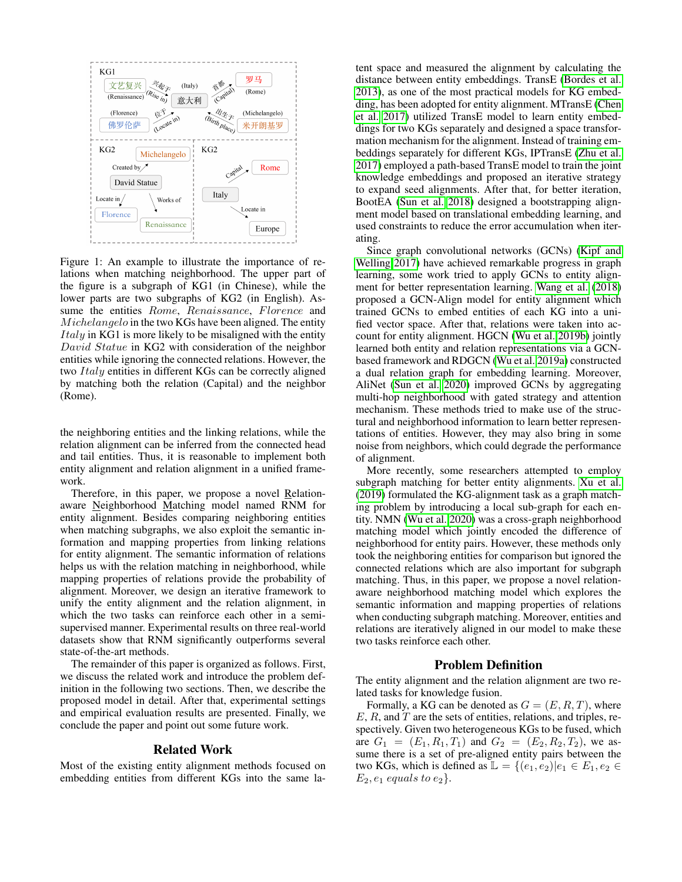<span id="page-1-0"></span>

Figure 1: An example to illustrate the importance of relations when matching neighborhood. The upper part of the figure is a subgraph of KG1 (in Chinese), while the lower parts are two subgraphs of KG2 (in English). Assume the entities Rome, Renaissance, Florence and Michelangelo in the two KGs have been aligned. The entity *Italy* in KG1 is more likely to be misaligned with the entity David Statue in KG2 with consideration of the neighbor entities while ignoring the connected relations. However, the two Italy entities in different KGs can be correctly aligned by matching both the relation (Capital) and the neighbor (Rome).

the neighboring entities and the linking relations, while the relation alignment can be inferred from the connected head and tail entities. Thus, it is reasonable to implement both entity alignment and relation alignment in a unified framework.

Therefore, in this paper, we propose a novel Relationaware Neighborhood Matching model named RNM for entity alignment. Besides comparing neighboring entities when matching subgraphs, we also exploit the semantic information and mapping properties from linking relations for entity alignment. The semantic information of relations helps us with the relation matching in neighborhood, while mapping properties of relations provide the probability of alignment. Moreover, we design an iterative framework to unify the entity alignment and the relation alignment, in which the two tasks can reinforce each other in a semisupervised manner. Experimental results on three real-world datasets show that RNM significantly outperforms several state-of-the-art methods.

The remainder of this paper is organized as follows. First, we discuss the related work and introduce the problem definition in the following two sections. Then, we describe the proposed model in detail. After that, experimental settings and empirical evaluation results are presented. Finally, we conclude the paper and point out some future work.

#### Related Work

Most of the existing entity alignment methods focused on embedding entities from different KGs into the same latent space and measured the alignment by calculating the distance between entity embeddings. TransE [\(Bordes et al.](#page-7-6) [2013\)](#page-7-6), as one of the most practical models for KG embedding, has been adopted for entity alignment. MTransE [\(Chen](#page-7-8) [et al. 2017\)](#page-7-8) utilized TransE model to learn entity embeddings for two KGs separately and designed a space transformation mechanism for the alignment. Instead of training embeddings separately for different KGs, IPTransE [\(Zhu et al.](#page-7-9) [2017\)](#page-7-9) employed a path-based TransE model to train the joint knowledge embeddings and proposed an iterative strategy to expand seed alignments. After that, for better iteration, BootEA [\(Sun et al. 2018\)](#page-7-10) designed a bootstrapping alignment model based on translational embedding learning, and used constraints to reduce the error accumulation when iterating.

Since graph convolutional networks (GCNs) [\(Kipf and](#page-7-11) [Welling 2017\)](#page-7-11) have achieved remarkable progress in graph learning, some work tried to apply GCNs to entity alignment for better representation learning. [Wang et al.](#page-7-12) [\(2018\)](#page-7-12) proposed a GCN-Align model for entity alignment which trained GCNs to embed entities of each KG into a unified vector space. After that, relations were taken into account for entity alignment. HGCN [\(Wu et al. 2019b\)](#page-7-18) jointly learned both entity and relation representations via a GCNbased framework and RDGCN [\(Wu et al. 2019a\)](#page-7-13) constructed a dual relation graph for embedding learning. Moreover, AliNet [\(Sun et al. 2020\)](#page-7-15) improved GCNs by aggregating multi-hop neighborhood with gated strategy and attention mechanism. These methods tried to make use of the structural and neighborhood information to learn better representations of entities. However, they may also bring in some noise from neighbors, which could degrade the performance of alignment.

More recently, some researchers attempted to employ subgraph matching for better entity alignments. [Xu et al.](#page-7-16) [\(2019\)](#page-7-16) formulated the KG-alignment task as a graph matching problem by introducing a local sub-graph for each entity. NMN [\(Wu et al. 2020\)](#page-7-17) was a cross-graph neighborhood matching model which jointly encoded the difference of neighborhood for entity pairs. However, these methods only took the neighboring entities for comparison but ignored the connected relations which are also important for subgraph matching. Thus, in this paper, we propose a novel relationaware neighborhood matching model which explores the semantic information and mapping properties of relations when conducting subgraph matching. Moreover, entities and relations are iteratively aligned in our model to make these two tasks reinforce each other.

## Problem Definition

The entity alignment and the relation alignment are two related tasks for knowledge fusion.

Formally, a KG can be denoted as  $G = (E, R, T)$ , where  $E, R$ , and  $T$  are the sets of entities, relations, and triples, respectively. Given two heterogeneous KGs to be fused, which are  $G_1 = (E_1, R_1, T_1)$  and  $G_2 = (E_2, R_2, T_2)$ , we assume there is a set of pre-aligned entity pairs between the two KGs, which is defined as  $\mathbb{L} = \{(e_1, e_2) | e_1 \in E_1, e_2 \in$  $E_2, e_1$  equals to  $e_2$ .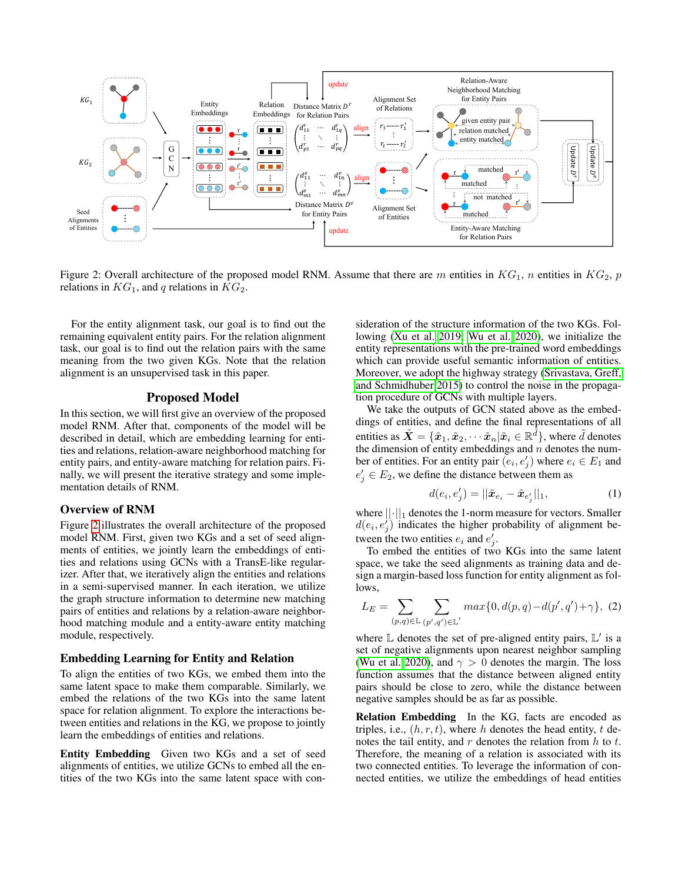<span id="page-2-0"></span>

Figure 2: Overall architecture of the proposed model RNM. Assume that there are m entities in  $KG_1$ , n entities in  $KG_2$ , p relations in  $KG_1$ , and q relations in  $KG_2$ .

For the entity alignment task, our goal is to find out the remaining equivalent entity pairs. For the relation alignment task, our goal is to find out the relation pairs with the same meaning from the two given KGs. Note that the relation alignment is an unsupervised task in this paper.

## Proposed Model

In this section, we will first give an overview of the proposed model RNM. After that, components of the model will be described in detail, which are embedding learning for entities and relations, relation-aware neighborhood matching for entity pairs, and entity-aware matching for relation pairs. Finally, we will present the iterative strategy and some implementation details of RNM.

#### Overview of RNM

Figure [2](#page-2-0) illustrates the overall architecture of the proposed model RNM. First, given two KGs and a set of seed alignments of entities, we jointly learn the embeddings of entities and relations using GCNs with a TransE-like regularizer. After that, we iteratively align the entities and relations in a semi-supervised manner. In each iteration, we utilize the graph structure information to determine new matching pairs of entities and relations by a relation-aware neighborhood matching module and a entity-aware entity matching module, respectively.

### Embedding Learning for Entity and Relation

To align the entities of two KGs, we embed them into the same latent space to make them comparable. Similarly, we embed the relations of the two KGs into the same latent space for relation alignment. To explore the interactions between entities and relations in the KG, we propose to jointly learn the embeddings of entities and relations.

Entity Embedding Given two KGs and a set of seed alignments of entities, we utilize GCNs to embed all the entities of the two KGs into the same latent space with consideration of the structure information of the two KGs. Following [\(Xu et al. 2019;](#page-7-16) [Wu et al. 2020\)](#page-7-17), we initialize the entity representations with the pre-trained word embeddings which can provide useful semantic information of entities. Moreover, we adopt the highway strategy [\(Srivastava, Greff,](#page-7-19) [and Schmidhuber 2015\)](#page-7-19) to control the noise in the propagation procedure of GCNs with multiple layers.

We take the outputs of GCN stated above as the embeddings of entities, and define the final representations of all entities as  $\tilde{\bm{X}}=\{\tilde{\bm{x}}_1,\tilde{\bm{x}}_2,\cdots \tilde{\bm{x}}_n|\tilde{\bm{x}}_i\in\mathbb{R}^{\tilde{d}}\},$  where  $\tilde{d}$  denotes the dimension of entity embeddings and  $n$  denotes the number of entities. For an entity pair  $(e_i, e'_j)$  where  $e_i \in E_1$  and  $e'_{j} \in E_{2}$ , we define the distance between them as

$$
d(e_i, e'_j) = ||\tilde{x}_{e_i} - \tilde{x}_{e'_j}||_1,
$$
 (1)

where  $||\cdot||_1$  denotes the 1-norm measure for vectors. Smaller  $d(e_i, e'_j)$  indicates the higher probability of alignment between the two entities  $e_i$  and  $e'_j$ .

To embed the entities of two KGs into the same latent space, we take the seed alignments as training data and design a margin-based loss function for entity alignment as follows,

<span id="page-2-1"></span>
$$
L_E = \sum_{(p,q)\in \mathbb{L}} \sum_{(p',q')\in \mathbb{L}'} max\{0, d(p,q) - d(p',q') + \gamma\}, (2)
$$

where  $\mathbb L$  denotes the set of pre-aligned entity pairs,  $\mathbb L'$  is a set of negative alignments upon nearest neighbor sampling [\(Wu et al. 2020\)](#page-7-17), and  $\gamma > 0$  denotes the margin. The loss function assumes that the distance between aligned entity pairs should be close to zero, while the distance between negative samples should be as far as possible.

Relation Embedding In the KG, facts are encoded as triples, i.e.,  $(h, r, t)$ , where h denotes the head entity, t denotes the tail entity, and  $r$  denotes the relation from  $h$  to  $t$ . Therefore, the meaning of a relation is associated with its two connected entities. To leverage the information of connected entities, we utilize the embeddings of head entities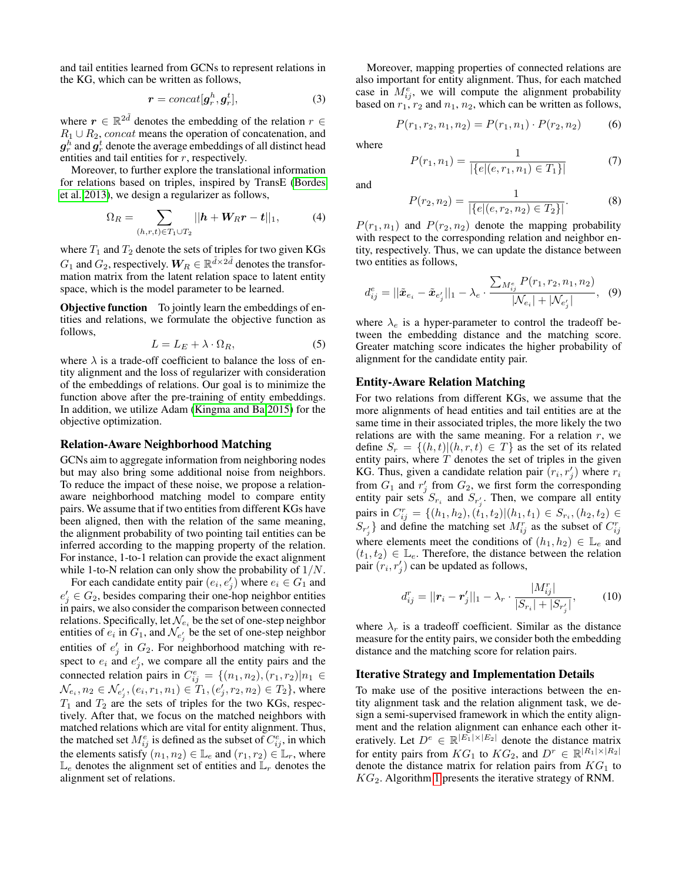and tail entities learned from GCNs to represent relations in the KG, which can be written as follows,

$$
\boldsymbol{r} = concat[\boldsymbol{g}_r^h, \boldsymbol{g}_r^t],\tag{3}
$$

where  $r \in \mathbb{R}^{2\tilde{d}}$  denotes the embedding of the relation  $r \in$  $R_1 \cup R_2$ , concat means the operation of concatenation, and  $\bm{g}_r^h$  and  $\bm{g}_r^t$  denote the average embeddings of all distinct head entities and tail entities for r, respectively.

Moreover, to further explore the translational information for relations based on triples, inspired by TransE [\(Bordes](#page-7-6) [et al. 2013\)](#page-7-6), we design a regularizer as follows,

$$
\Omega_R = \sum_{(h,r,t) \in T_1 \cup T_2} ||h + W_R r - t||_1, \tag{4}
$$

where  $T_1$  and  $T_2$  denote the sets of triples for two given KGs  $G_1$  and  $G_2$ , respectively.  $\boldsymbol{W}_R \in \mathbb{R}^{\tilde{d} \times 2 \tilde{d}}$  denotes the transformation matrix from the latent relation space to latent entity space, which is the model parameter to be learned.

**Objective function** To jointly learn the embeddings of entities and relations, we formulate the objective function as follows,

<span id="page-3-2"></span>
$$
L = L_E + \lambda \cdot \Omega_R,\tag{5}
$$

where  $\lambda$  is a trade-off coefficient to balance the loss of entity alignment and the loss of regularizer with consideration of the embeddings of relations. Our goal is to minimize the function above after the pre-training of entity embeddings. In addition, we utilize Adam [\(Kingma and Ba 2015\)](#page-7-20) for the objective optimization.

## Relation-Aware Neighborhood Matching

GCNs aim to aggregate information from neighboring nodes but may also bring some additional noise from neighbors. To reduce the impact of these noise, we propose a relationaware neighborhood matching model to compare entity pairs. We assume that if two entities from different KGs have been aligned, then with the relation of the same meaning, the alignment probability of two pointing tail entities can be inferred according to the mapping property of the relation. For instance, 1-to-1 relation can provide the exact alignment while 1-to-N relation can only show the probability of  $1/N$ .

For each candidate entity pair  $(e_i, e'_j)$  where  $e_i \in G_1$  and  $e'_{j} \in G_2$ , besides comparing their one-hop neighbor entities in pairs, we also consider the comparison between connected relations. Specifically, let  $\mathcal{N}_{e_i}$  be the set of one-step neighbor entities of  $e_i$  in  $G_1$ , and  $\mathcal{N}_{e'_j}$  be the set of one-step neighbor entities of  $e'_{j}$  in  $G_{2}$ . For neighborhood matching with respect to  $e_i$  and  $e'_j$ , we compare all the entity pairs and the connected relation pairs in  $C_{ij}^e = \{(n_1, n_2), (r_1, r_2) | n_1 \in$  $\mathcal{N}_{e_i}, n_2 \in \mathcal{N}_{e'_j}, (e_i, r_1, n_1) \in \overline{T}_1, (e'_j, r_2, n_2) \in T_2$ }, where  $T_1$  and  $T_2$  are the sets of triples for the two KGs, respectively. After that, we focus on the matched neighbors with matched relations which are vital for entity alignment. Thus, the matched set  $M_{ij}^e$  is defined as the subset of  $C_{ij}^e$ , in which the elements satisfy  $(n_1, n_2) \in \mathbb{L}_e$  and  $(r_1, r_2) \in \mathbb{L}_r$ , where  $\mathbb{L}_e$  denotes the alignment set of entities and  $\mathbb{L}_r$  denotes the alignment set of relations.

Moreover, mapping properties of connected relations are also important for entity alignment. Thus, for each matched case in  $M_{ij}^e$ , we will compute the alignment probability based on  $r_1$ ,  $r_2$  and  $n_1$ ,  $n_2$ , which can be written as follows,

<span id="page-3-3"></span>
$$
P(r_1, r_2, n_1, n_2) = P(r_1, n_1) \cdot P(r_2, n_2)
$$
 (6)

where

$$
P(r_1, n_1) = \frac{1}{|\{e|(e, r_1, n_1) \in T_1\}|}
$$
(7)

and

$$
P(r_2, n_2) = \frac{1}{|\{e|(e, r_2, n_2) \in T_2\}|}.
$$
 (8)

 $P(r_1, n_1)$  and  $P(r_2, n_2)$  denote the mapping probability with respect to the corresponding relation and neighbor entity, respectively. Thus, we can update the distance between two entities as follows,

<span id="page-3-0"></span>
$$
d_{ij}^{e} = ||\tilde{\boldsymbol{x}}_{e_i} - \tilde{\boldsymbol{x}}_{e'_j}||_1 - \lambda_e \cdot \frac{\sum_{M_{ij}^{e}} P(r_1, r_2, n_1, n_2)}{|\mathcal{N}_{e_i}| + |\mathcal{N}_{e'_j}|}, \quad (9)
$$

where  $\lambda_e$  is a hyper-parameter to control the tradeoff between the embedding distance and the matching score. Greater matching score indicates the higher probability of alignment for the candidate entity pair.

## Entity-Aware Relation Matching

For two relations from different KGs, we assume that the more alignments of head entities and tail entities are at the same time in their associated triples, the more likely the two relations are with the same meaning. For a relation  $r$ , we define  $S_r = \{(h, t) | (h, r, t) \in T\}$  as the set of its related entity pairs, where  $T$  denotes the set of triples in the given KG. Thus, given a candidate relation pair  $(r_i, r_j')$  where  $r_i$ from  $G_1$  and  $r'_j$  from  $G_2$ , we first form the corresponding entity pair sets  $S_{r_i}$  and  $S_{r'_j}$ . Then, we compare all entity pairs in  $C_{ij}^r = \{(h_1, h_2), (t_1, t_2) | (h_1, t_1) \in S_{r_i}, (h_2, t_2) \in$  $S_{r'_{j}}$  and define the matching set  $M_{ij}^{r}$  as the subset of  $C_{ij}^{r}$ where elements meet the conditions of  $(h_1, h_2) \in \mathbb{L}_e$  and  $(t_1, t_2) \in \mathbb{L}_e$ . Therefore, the distance between the relation pair  $(r_i, r'_j)$  can be updated as follows,

<span id="page-3-1"></span>
$$
d_{ij}^r = ||\mathbf{r}_i - \mathbf{r}'_j||_1 - \lambda_r \cdot \frac{|M_{ij}^r|}{|S_{r_i}| + |S_{r'_j}|},\tag{10}
$$

where  $\lambda_r$  is a tradeoff coefficient. Similar as the distance measure for the entity pairs, we consider both the embedding distance and the matching score for relation pairs.

#### Iterative Strategy and Implementation Details

To make use of the positive interactions between the entity alignment task and the relation alignment task, we design a semi-supervised framework in which the entity alignment and the relation alignment can enhance each other iteratively. Let  $D^e \in \mathbb{R}^{|E_1| \times |E_2|}$  denote the distance matrix for entity pairs from  $KG_1$  to  $KG_2$ , and  $D^r \in \mathbb{R}^{|R_1| \times |R_2|}$ denote the distance matrix for relation pairs from  $KG_1$  to  $KG<sub>2</sub>$ . Algorithm [1](#page-4-0) presents the iterative strategy of RNM.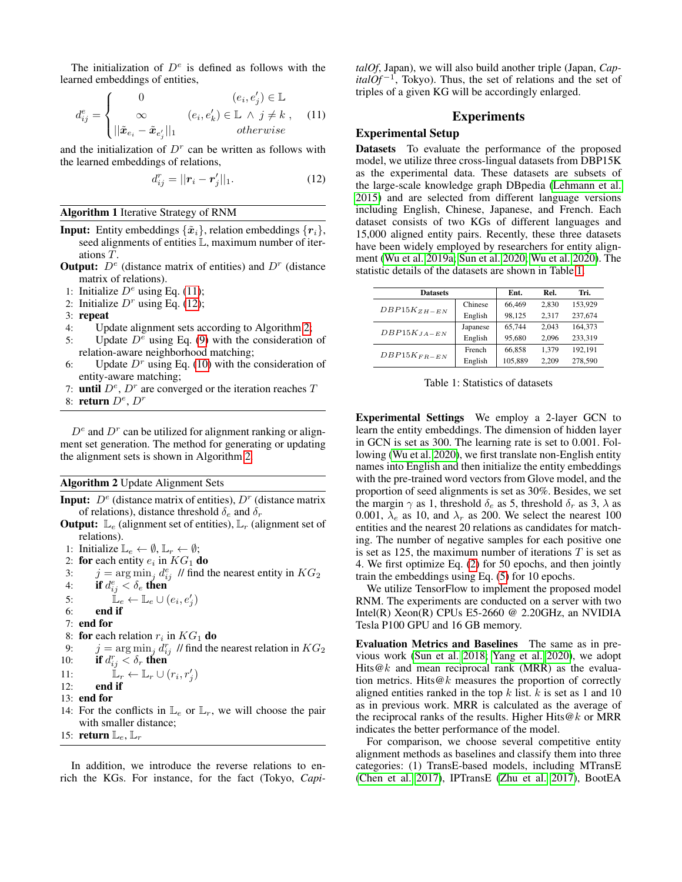The initialization of  $D^e$  is defined as follows with the learned embeddings of entities,

<span id="page-4-1"></span>
$$
d_{ij}^{e} = \begin{cases} 0 & (e_i, e'_j) \in \mathbb{L} \\ \infty & (e_i, e'_k) \in \mathbb{L} \land j \neq k, \quad (11) \\ ||\tilde{\boldsymbol{x}}_{e_i} - \tilde{\boldsymbol{x}}_{e'_j}||_1 & otherwise \end{cases}
$$

and the initialization of  $D<sup>r</sup>$  can be written as follows with the learned embeddings of relations,

<span id="page-4-2"></span>
$$
d_{ij}^r = ||\mathbf{r}_i - \mathbf{r}'_j||_1.
$$
 (12)

#### <span id="page-4-0"></span>Algorithm 1 Iterative Strategy of RNM

- **Input:** Entity embeddings  $\{\tilde{x}_i\}$ , relation embeddings  $\{r_i\}$ , seed alignments of entities L, maximum number of iterations T.
- **Output:**  $D^e$  (distance matrix of entities) and  $D^r$  (distance matrix of relations).
- 1: Initialize  $D^e$  using Eq. [\(11\)](#page-4-1);
- 2: Initialize  $D<sup>r</sup>$  using Eq. [\(12\)](#page-4-2);
- 3: repeat
- 4: Update alignment sets according to Algorithm [2;](#page-4-3)
- 5: Update  $D^e$  using Eq. [\(9\)](#page-3-0) with the consideration of
- relation-aware neighborhood matching; 6: Update  $D<sup>r</sup>$  using Eq. [\(10\)](#page-3-1) with the consideration of entity-aware matching;
- 7: until  $D^e$ ,  $D^r$  are converged or the iteration reaches  $T$
- 8: return  $D^e$ ,  $D^r$

 $D^e$  and  $D^r$  can be utilized for alignment ranking or alignment set generation. The method for generating or updating the alignment sets is shown in Algorithm [2.](#page-4-3)

## <span id="page-4-3"></span>Algorithm 2 Update Alignment Sets

- **Input:**  $D^e$  (distance matrix of entities),  $D^r$  (distance matrix of relations), distance threshold  $\delta_e$  and  $\delta_r$
- **Output:**  $\mathbb{L}_{e}$  (alignment set of entities),  $\mathbb{L}_{r}$  (alignment set of relations).
- 1: Initialize  $\mathbb{L}_e \leftarrow \emptyset$ ,  $\mathbb{L}_r \leftarrow \emptyset$ ;
- 2: for each entity  $e_i$  in  $KG_1$  do
- 3:  $j = \arg \min_j d_{ij}^e$  // find the nearest entity in  $KG_2$
- 4: if  $d_{ij}^e < \delta_e$  then
- 5:  $\mathbb{L}_e \leftarrow \mathbb{L}_e \cup (e_i, e'_j)$
- 6: end if
- 7: end for
- 8: for each relation  $r_i$  in  $KG_1$  do
- 9:  $j = \arg \min_j d_{ij}^r$  // find the nearest relation in  $KG_2$ 10: if  $d_{ij}^r < \delta_r$  then
- 11:  $\mathbb{L}_r \leftarrow \mathbb{L}_r \cup (r_i, r'_j)$
- 12: end if
- 13: end for
- 14: For the conflicts in  $\mathbb{L}_e$  or  $\mathbb{L}_r$ , we will choose the pair with smaller distance;
- 15: return  $\mathbb{L}_e$ ,  $\mathbb{L}_r$

In addition, we introduce the reverse relations to enrich the KGs. For instance, for the fact (Tokyo, *Capi-* *talOf*, Japan), we will also build another triple (Japan, *Cap-* $\frac{italOf^{-1}}{t}$ , Tokyo). Thus, the set of relations and the set of triples of a given KG will be accordingly enlarged.

### Experiments

## Experimental Setup

Datasets To evaluate the performance of the proposed model, we utilize three cross-lingual datasets from DBP15K as the experimental data. These datasets are subsets of the large-scale knowledge graph DBpedia [\(Lehmann et al.](#page-7-0) [2015\)](#page-7-0) and are selected from different language versions including English, Chinese, Japanese, and French. Each dataset consists of two KGs of different languages and 15,000 aligned entity pairs. Recently, these three datasets have been widely employed by researchers for entity alignment [\(Wu et al. 2019a;](#page-7-13) [Sun et al. 2020;](#page-7-15) [Wu et al. 2020\)](#page-7-17). The statistic details of the datasets are shown in Table [1.](#page-4-4)

<span id="page-4-4"></span>

| <b>Datasets</b>  |          | Ent.    | Rel.  | Tri.    |
|------------------|----------|---------|-------|---------|
| $DBP15K_{ZH-EN}$ | Chinese  | 66,469  | 2.830 | 153,929 |
|                  | English  | 98,125  | 2.317 | 237,674 |
|                  | Japanese | 65.744  | 2.043 | 164,373 |
| $DBP15K_{JA-EN}$ | English  | 95,680  | 2.096 | 233.319 |
|                  | French   | 66,858  | 1.379 | 192.191 |
| $DBP15K_{FR-EN}$ | English  | 105,889 | 2.209 | 278,590 |

Table 1: Statistics of datasets

Experimental Settings We employ a 2-layer GCN to learn the entity embeddings. The dimension of hidden layer in GCN is set as 300. The learning rate is set to 0.001. Following [\(Wu et al. 2020\)](#page-7-17), we first translate non-English entity names into English and then initialize the entity embeddings with the pre-trained word vectors from Glove model, and the proportion of seed alignments is set as 30%. Besides, we set the margin  $\gamma$  as 1, threshold  $\delta_e$  as 5, threshold  $\delta_r$  as 3,  $\lambda$  as 0.001,  $\lambda_e$  as 10, and  $\lambda_r$  as 200. We select the nearest 100 entities and the nearest 20 relations as candidates for matching. The number of negative samples for each positive one is set as 125, the maximum number of iterations  $T$  is set as 4. We first optimize Eq. [\(2\)](#page-2-1) for 50 epochs, and then jointly train the embeddings using Eq. [\(5\)](#page-3-2) for 10 epochs.

We utilize TensorFlow to implement the proposed model RNM. The experiments are conducted on a server with two Intel(R) Xeon(R) CPUs E5-2660 @ 2.20GHz, an NVIDIA Tesla P100 GPU and 16 GB memory.

Evaluation Metrics and Baselines The same as in previous work [\(Sun et al. 2018;](#page-7-10) [Yang et al. 2020\)](#page-7-21), we adopt Hits@k and mean reciprocal rank (MRR) as the evaluation metrics. Hits $@k$  measures the proportion of correctly aligned entities ranked in the top  $k$  list.  $k$  is set as 1 and 10 as in previous work. MRR is calculated as the average of the reciprocal ranks of the results. Higher Hits $@k$  or MRR indicates the better performance of the model.

For comparison, we choose several competitive entity alignment methods as baselines and classify them into three categories: (1) TransE-based models, including MTransE [\(Chen et al. 2017\)](#page-7-8), IPTransE [\(Zhu et al. 2017\)](#page-7-9), BootEA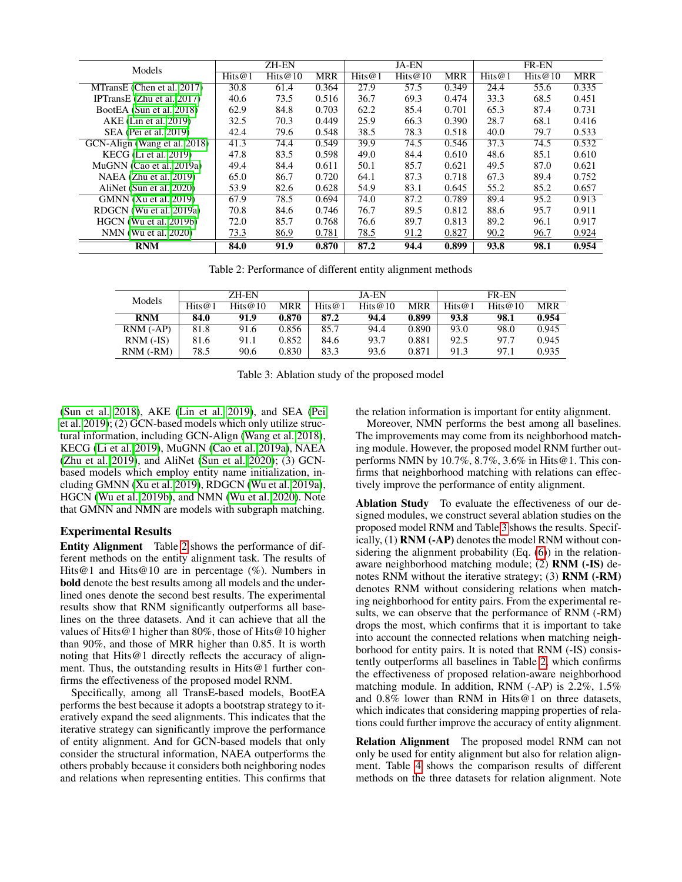<span id="page-5-0"></span>

| Models                       | <b>ZH-EN</b> |         |            | <b>JA-EN</b> |                             |            | <b>FR-EN</b> |         |            |
|------------------------------|--------------|---------|------------|--------------|-----------------------------|------------|--------------|---------|------------|
|                              | Hits@1       | Hits@10 | <b>MRR</b> | Hits@1       | $\overline{\text{Hits}}@10$ | <b>MRR</b> | Hits $@1$    | Hits@10 | <b>MRR</b> |
| MTransE (Chen et al. 2017)   | 30.8         | 61.4    | 0.364      | 27.9         | 57.5                        | 0.349      | 24.4         | 55.6    | 0.335      |
| IPTransE $(Zhu et al. 2017)$ | 40.6         | 73.5    | 0.516      | 36.7         | 69.3                        | 0.474      | 33.3         | 68.5    | 0.451      |
| BootEA (Sun et al. 2018)     | 62.9         | 84.8    | 0.703      | 62.2         | 85.4                        | 0.701      | 65.3         | 87.4    | 0.731      |
| AKE (Lin et al. 2019)        | 32.5         | 70.3    | 0.449      | 25.9         | 66.3                        | 0.390      | 28.7         | 68.1    | 0.416      |
| SEA (Pei et al. 2019)        | 42.4         | 79.6    | 0.548      | 38.5         | 78.3                        | 0.518      | 40.0         | 79.7    | 0.533      |
| GCN-Align (Wang et al. 2018) | 41.3         | 74.4    | 0.549      | 39.9         | 74.5                        | 0.546      | 37.3         | 74.5    | 0.532      |
| $KECG$ (Li et al. 2019)      | 47.8         | 83.5    | 0.598      | 49.0         | 84.4                        | 0.610      | 48.6         | 85.1    | 0.610      |
| MuGNN (Cao et al. 2019a)     | 49.4         | 84.4    | 0.611      | 50.1         | 85.7                        | 0.621      | 49.5         | 87.0    | 0.621      |
| NAEA (Zhu et al. 2019)       | 65.0         | 86.7    | 0.720      | 64.1         | 87.3                        | 0.718      | 67.3         | 89.4    | 0.752      |
| AliNet (Sun et al. 2020)     | 53.9         | 82.6    | 0.628      | 54.9         | 83.1                        | 0.645      | 55.2         | 85.2    | 0.657      |
| GMNN (Xu et al. 2019)        | 67.9         | 78.5    | 0.694      | 74.0         | 87.2                        | 0.789      | 89.4         | 95.2    | 0.913      |
| RDGCN (Wu et al. 2019a)      | 70.8         | 84.6    | 0.746      | 76.7         | 89.5                        | 0.812      | 88.6         | 95.7    | 0.911      |
| HGCN (Wu et al. 2019b)       | 72.0         | 85.7    | 0.768      | 76.6         | 89.7                        | 0.813      | 89.2         | 96.1    | 0.917      |
| NMN (Wu et al. 2020)         | 73.3         | 86.9    | 0.781      | 78.5         | 91.2                        | 0.827      | 90.2         | 96.7    | 0.924      |
| <b>RNM</b>                   | 84.0         | 91.9    | 0.870      | 87.2         | 94.4                        | 0.899      | 93.8         | 98.1    | 0.954      |

Table 2: Performance of different entity alignment methods

<span id="page-5-1"></span>

| Models          | ZH-EN |            |       | <b>JA-EN</b> |            |       | <b>FR-EN</b>                      |            |            |
|-----------------|-------|------------|-------|--------------|------------|-------|-----------------------------------|------------|------------|
|                 | Hits@ | Hits $@10$ | MRR   | Hits@1       | Hits $@10$ | MRR   | $\overline{Hits}$ ( $\emptyset$ 1 | Hits $@10$ | <b>MRR</b> |
| <b>RNM</b>      | 84.0  | 91.9       | 0.870 | 87.2         | 94.4       | 0.899 | 93.8                              | 98.1       | 0.954      |
| $RNM$ $(-AP)$   | 81.8  | 91.6       | 0.856 | 85.7         | 94.4       | 0.890 | 93.0                              | 98.0       | 0.945      |
| $RNM$ (-IS)     | 81.6  | 91.1       | 0.852 | 84.6         | 93.7       | 0.881 | 92.5                              | 97.7       | 0.945      |
| $RNM$ (- $RM$ ) | 78.5  | 90.6       | 0.830 | 83.3         | 93.6       | 0.871 | 91.3                              | 97.1       | 0.935      |

Table 3: Ablation study of the proposed model

[\(Sun et al. 2018\)](#page-7-10), AKE [\(Lin et al. 2019\)](#page-7-22), and SEA [\(Pei](#page-7-23) [et al. 2019\)](#page-7-23); (2) GCN-based models which only utilize structural information, including GCN-Align [\(Wang et al. 2018\)](#page-7-12), KECG [\(Li et al. 2019\)](#page-7-24), MuGNN [\(Cao et al. 2019a\)](#page-7-25), NAEA [\(Zhu et al. 2019\)](#page-7-26), and AliNet [\(Sun et al. 2020\)](#page-7-15); (3) GCNbased models which employ entity name initialization, including GMNN [\(Xu et al. 2019\)](#page-7-16), RDGCN [\(Wu et al. 2019a\)](#page-7-13), HGCN [\(Wu et al. 2019b\)](#page-7-18), and NMN [\(Wu et al. 2020\)](#page-7-17). Note that GMNN and NMN are models with subgraph matching.

## Experimental Results

Entity Alignment Table [2](#page-5-0) shows the performance of different methods on the entity alignment task. The results of Hits@1 and Hits@10 are in percentage  $(\%)$ . Numbers in bold denote the best results among all models and the underlined ones denote the second best results. The experimental results show that RNM significantly outperforms all baselines on the three datasets. And it can achieve that all the values of Hits@1 higher than 80%, those of Hits@10 higher than 90%, and those of MRR higher than 0.85. It is worth noting that Hits@1 directly reflects the accuracy of alignment. Thus, the outstanding results in Hits@1 further confirms the effectiveness of the proposed model RNM.

Specifically, among all TransE-based models, BootEA performs the best because it adopts a bootstrap strategy to iteratively expand the seed alignments. This indicates that the iterative strategy can significantly improve the performance of entity alignment. And for GCN-based models that only consider the structural information, NAEA outperforms the others probably because it considers both neighboring nodes and relations when representing entities. This confirms that

the relation information is important for entity alignment.

Moreover, NMN performs the best among all baselines. The improvements may come from its neighborhood matching module. However, the proposed model RNM further outperforms NMN by 10.7%, 8.7%, 3.6% in Hits@1. This confirms that neighborhood matching with relations can effectively improve the performance of entity alignment.

Ablation Study To evaluate the effectiveness of our designed modules, we construct several ablation studies on the proposed model RNM and Table [3](#page-5-1) shows the results. Specifically, (1) RNM (-AP) denotes the model RNM without con-sidering the alignment probability (Eq. [\(6\)](#page-3-3)) in the relationaware neighborhood matching module; (2) RNM (-IS) denotes RNM without the iterative strategy; (3) RNM (-RM) denotes RNM without considering relations when matching neighborhood for entity pairs. From the experimental results, we can observe that the performance of RNM (-RM) drops the most, which confirms that it is important to take into account the connected relations when matching neighborhood for entity pairs. It is noted that RNM (-IS) consistently outperforms all baselines in Table [2,](#page-5-0) which confirms the effectiveness of proposed relation-aware neighborhood matching module. In addition, RNM (-AP) is 2.2%, 1.5% and 0.8% lower than RNM in Hits@1 on three datasets, which indicates that considering mapping properties of relations could further improve the accuracy of entity alignment.

Relation Alignment The proposed model RNM can not only be used for entity alignment but also for relation alignment. Table [4](#page-6-0) shows the comparison results of different methods on the three datasets for relation alignment. Note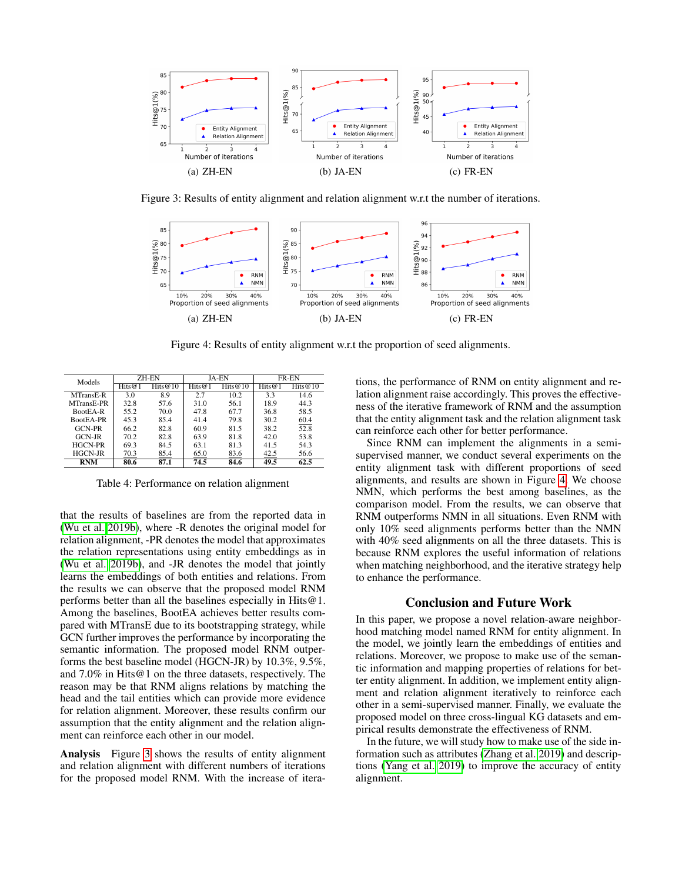<span id="page-6-1"></span>

Figure 3: Results of entity alignment and relation alignment w.r.t the number of iterations.

<span id="page-6-2"></span>

Figure 4: Results of entity alignment w.r.t the proportion of seed alignments.

<span id="page-6-0"></span>

| Models         | ZH-EN |            |       | JA-EN      | <b>FR-EN</b> |            |  |
|----------------|-------|------------|-------|------------|--------------|------------|--|
|                | Hits@ | Hits $@10$ | Hits@ | Hits $@10$ | Hits@        | Hits $@10$ |  |
| MTransE-R      | 3.0   | 8.9        | 2.7   | 10.2       | 3.3          | 14.6       |  |
| MTransE-PR     | 32.8  | 57.6       | 31.0  | 56.1       | 18.9         | 44.3       |  |
| BootEA-R       | 55.2  | 70.0       | 47.8  | 67.7       | 36.8         | 58.5       |  |
| BootEA-PR      | 45.3  | 85.4       | 41.4  | 79.8       | 30.2         | 60.4       |  |
| GCN-PR         | 66.2  | 82.8       | 60.9  | 81.5       | 38.2         | 52.8       |  |
| $GCN-IR$       | 70.2  | 82.8       | 63.9  | 81.8       | 42.0         | 53.8       |  |
| <b>HGCN-PR</b> | 69.3  | 84.5       | 63.1  | 81.3       | 41.5         | 54.3       |  |
| <b>HGCN-JR</b> | 70.3  | 85.4       | 65.0  | 83.6       | 42.5         | 56.6       |  |
| <b>RNM</b>     | 80.6  | 87.1       | 74.5  | 84.6       | 49.5         | 62.5       |  |

Table 4: Performance on relation alignment

that the results of baselines are from the reported data in [\(Wu et al. 2019b\)](#page-7-18), where -R denotes the original model for relation alignment, -PR denotes the model that approximates the relation representations using entity embeddings as in [\(Wu et al. 2019b\)](#page-7-18), and -JR denotes the model that jointly learns the embeddings of both entities and relations. From the results we can observe that the proposed model RNM performs better than all the baselines especially in Hits@1. Among the baselines, BootEA achieves better results compared with MTransE due to its bootstrapping strategy, while GCN further improves the performance by incorporating the semantic information. The proposed model RNM outperforms the best baseline model (HGCN-JR) by 10.3%, 9.5%, and 7.0% in Hits@1 on the three datasets, respectively. The reason may be that RNM aligns relations by matching the head and the tail entities which can provide more evidence for relation alignment. Moreover, these results confirm our assumption that the entity alignment and the relation alignment can reinforce each other in our model.

Analysis Figure [3](#page-6-1) shows the results of entity alignment and relation alignment with different numbers of iterations for the proposed model RNM. With the increase of itera-

tions, the performance of RNM on entity alignment and relation alignment raise accordingly. This proves the effectiveness of the iterative framework of RNM and the assumption that the entity alignment task and the relation alignment task can reinforce each other for better performance.

Since RNM can implement the alignments in a semisupervised manner, we conduct several experiments on the entity alignment task with different proportions of seed alignments, and results are shown in Figure [4.](#page-6-2) We choose NMN, which performs the best among baselines, as the comparison model. From the results, we can observe that RNM outperforms NMN in all situations. Even RNM with only 10% seed alignments performs better than the NMN with 40% seed alignments on all the three datasets. This is because RNM explores the useful information of relations when matching neighborhood, and the iterative strategy help to enhance the performance.

## Conclusion and Future Work

In this paper, we propose a novel relation-aware neighborhood matching model named RNM for entity alignment. In the model, we jointly learn the embeddings of entities and relations. Moreover, we propose to make use of the semantic information and mapping properties of relations for better entity alignment. In addition, we implement entity alignment and relation alignment iteratively to reinforce each other in a semi-supervised manner. Finally, we evaluate the proposed model on three cross-lingual KG datasets and empirical results demonstrate the effectiveness of RNM.

In the future, we will study how to make use of the side information such as attributes [\(Zhang et al. 2019\)](#page-7-27) and descriptions [\(Yang et al. 2019\)](#page-7-28) to improve the accuracy of entity alignment.